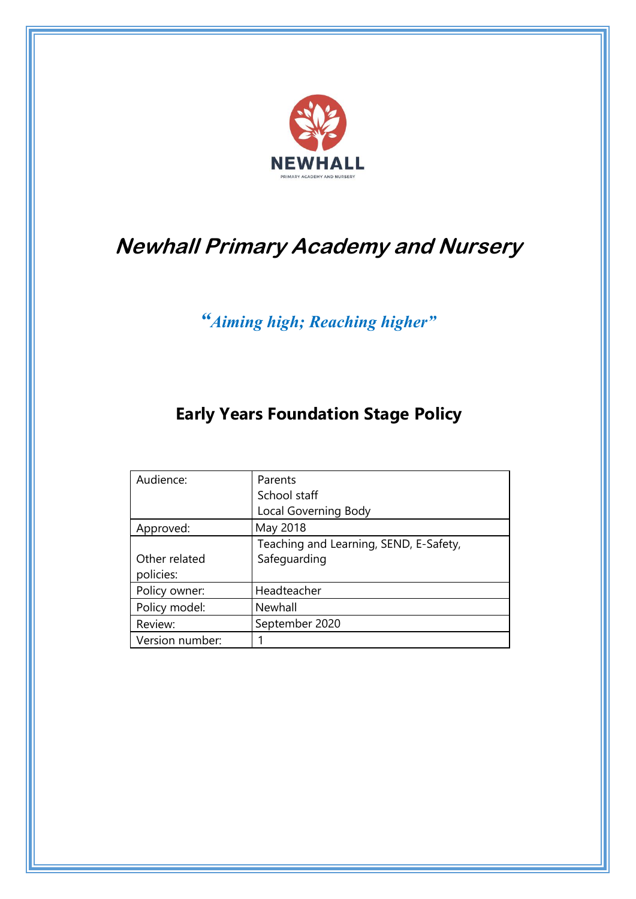

# **Newhall Primary Academy and Nursery**

*"Aiming high; Reaching higher"*

# **Early Years Foundation Stage Policy**

| Audience:       | Parents                                |
|-----------------|----------------------------------------|
|                 | School staff                           |
|                 | Local Governing Body                   |
| Approved:       | May 2018                               |
|                 | Teaching and Learning, SEND, E-Safety, |
| Other related   | Safeguarding                           |
| policies:       |                                        |
| Policy owner:   | Headteacher                            |
| Policy model:   | Newhall                                |
| Review:         | September 2020                         |
| Version number: |                                        |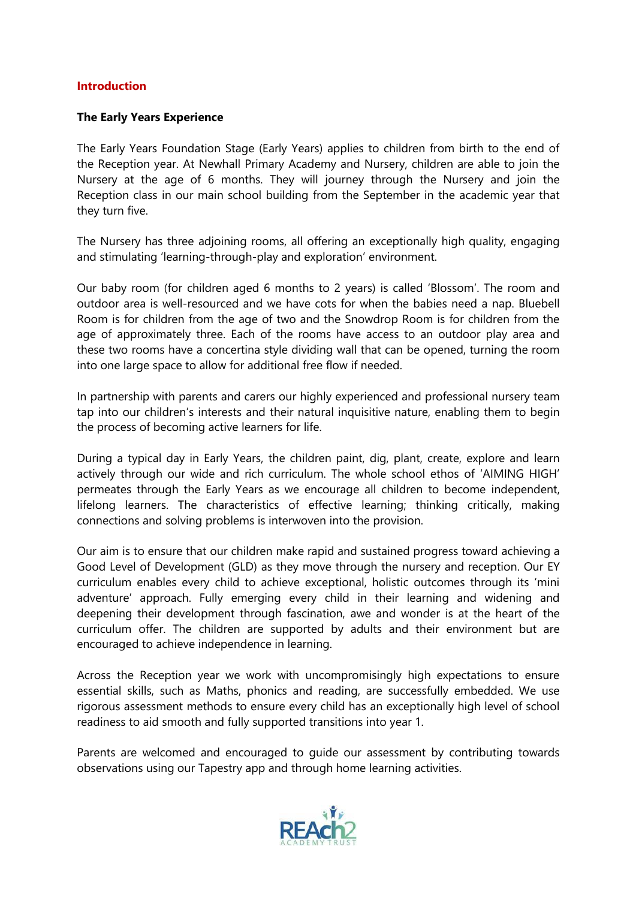#### **Introduction**

#### **The Early Years Experience**

The Early Years Foundation Stage (Early Years) applies to children from birth to the end of the Reception year. At Newhall Primary Academy and Nursery, children are able to join the Nursery at the age of 6 months. They will journey through the Nursery and join the Reception class in our main school building from the September in the academic year that they turn five.

The Nursery has three adjoining rooms, all offering an exceptionally high quality, engaging and stimulating 'learning-through-play and exploration' environment.

Our baby room (for children aged 6 months to 2 years) is called 'Blossom'. The room and outdoor area is well-resourced and we have cots for when the babies need a nap. Bluebell Room is for children from the age of two and the Snowdrop Room is for children from the age of approximately three. Each of the rooms have access to an outdoor play area and these two rooms have a concertina style dividing wall that can be opened, turning the room into one large space to allow for additional free flow if needed.

In partnership with parents and carers our highly experienced and professional nursery team tap into our children's interests and their natural inquisitive nature, enabling them to begin the process of becoming active learners for life.

During a typical day in Early Years, the children paint, dig, plant, create, explore and learn actively through our wide and rich curriculum. The whole school ethos of 'AIMING HIGH' permeates through the Early Years as we encourage all children to become independent, lifelong learners. The characteristics of effective learning; thinking critically, making connections and solving problems is interwoven into the provision.

Our aim is to ensure that our children make rapid and sustained progress toward achieving a Good Level of Development (GLD) as they move through the nursery and reception. Our EY curriculum enables every child to achieve exceptional, holistic outcomes through its 'mini adventure' approach. Fully emerging every child in their learning and widening and deepening their development through fascination, awe and wonder is at the heart of the curriculum offer. The children are supported by adults and their environment but are encouraged to achieve independence in learning.

Across the Reception year we work with uncompromisingly high expectations to ensure essential skills, such as Maths, phonics and reading, are successfully embedded. We use rigorous assessment methods to ensure every child has an exceptionally high level of school readiness to aid smooth and fully supported transitions into year 1.

Parents are welcomed and encouraged to guide our assessment by contributing towards observations using our Tapestry app and through home learning activities.

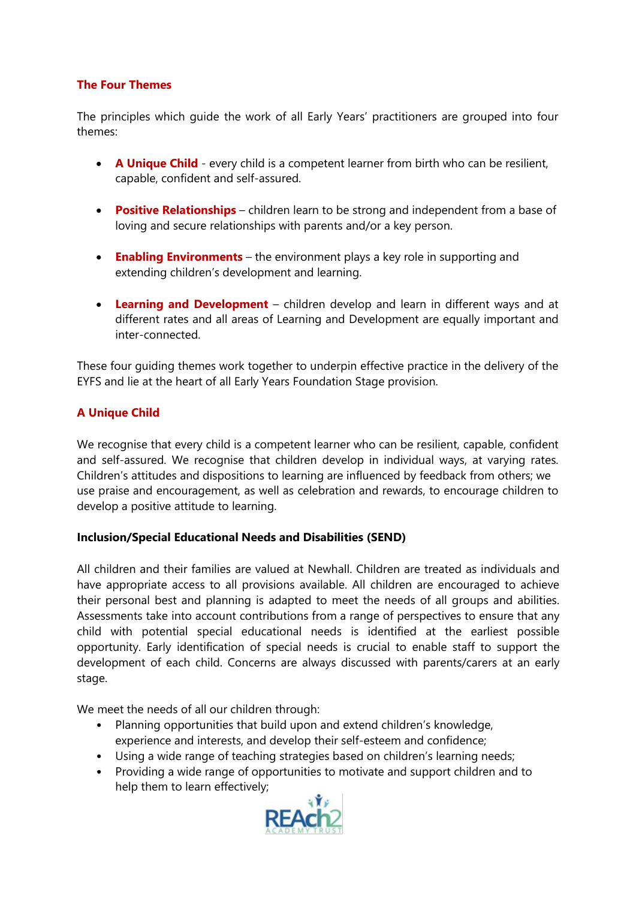# **The Four Themes**

The principles which guide the work of all Early Years' practitioners are grouped into four themes:

- **A Unique Child** every child is a competent learner from birth who can be resilient, capable, confident and self-assured.
- **Positive Relationships** children learn to be strong and independent from a base of loving and secure relationships with parents and/or a key person.
- **Enabling Environments** the environment plays a key role in supporting and extending children's development and learning.
- **Learning and Development** children develop and learn in different ways and at different rates and all areas of Learning and Development are equally important and inter-connected.

These four guiding themes work together to underpin effective practice in the delivery of the EYFS and lie at the heart of all Early Years Foundation Stage provision.

# **A Unique Child**

We recognise that every child is a competent learner who can be resilient, capable, confident and self-assured. We recognise that children develop in individual ways, at varying rates. Children's attitudes and dispositions to learning are influenced by feedback from others; we use praise and encouragement, as well as celebration and rewards, to encourage children to develop a positive attitude to learning.

# **Inclusion/Special Educational Needs and Disabilities (SEND)**

All children and their families are valued at Newhall. Children are treated as individuals and have appropriate access to all provisions available. All children are encouraged to achieve their personal best and planning is adapted to meet the needs of all groups and abilities. Assessments take into account contributions from a range of perspectives to ensure that any child with potential special educational needs is identified at the earliest possible opportunity. Early identification of special needs is crucial to enable staff to support the development of each child. Concerns are always discussed with parents/carers at an early stage.

We meet the needs of all our children through:

- Planning opportunities that build upon and extend children's knowledge, experience and interests, and develop their self-esteem and confidence;
- Using a wide range of teaching strategies based on children's learning needs;
- Providing a wide range of opportunities to motivate and support children and to help them to learn effectively;

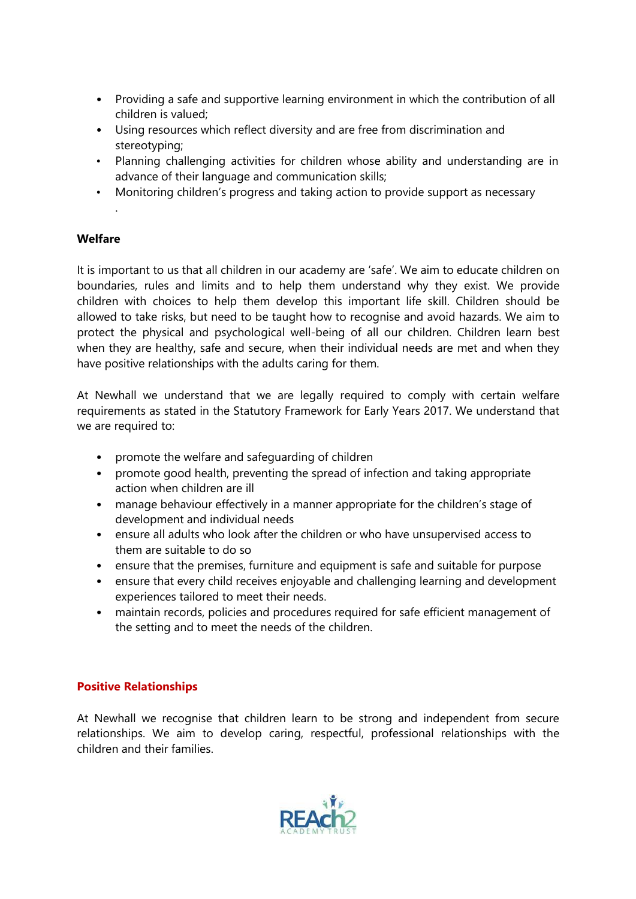- Providing a safe and supportive learning environment in which the contribution of all children is valued;
- Using resources which reflect diversity and are free from discrimination and stereotyping;
- Planning challenging activities for children whose ability and understanding are in advance of their language and communication skills;
- Monitoring children's progress and taking action to provide support as necessary

### **Welfare**

.

It is important to us that all children in our academy are 'safe'. We aim to educate children on boundaries, rules and limits and to help them understand why they exist. We provide children with choices to help them develop this important life skill. Children should be allowed to take risks, but need to be taught how to recognise and avoid hazards. We aim to protect the physical and psychological well-being of all our children. Children learn best when they are healthy, safe and secure, when their individual needs are met and when they have positive relationships with the adults caring for them.

At Newhall we understand that we are legally required to comply with certain welfare requirements as stated in the Statutory Framework for Early Years 2017. We understand that we are required to:

- promote the welfare and safeguarding of children
- promote good health, preventing the spread of infection and taking appropriate action when children are ill
- manage behaviour effectively in a manner appropriate for the children's stage of development and individual needs
- ensure all adults who look after the children or who have unsupervised access to them are suitable to do so
- ensure that the premises, furniture and equipment is safe and suitable for purpose
- ensure that every child receives enjoyable and challenging learning and development experiences tailored to meet their needs.
- maintain records, policies and procedures required for safe efficient management of the setting and to meet the needs of the children.

# **Positive Relationships**

At Newhall we recognise that children learn to be strong and independent from secure relationships. We aim to develop caring, respectful, professional relationships with the children and their families.

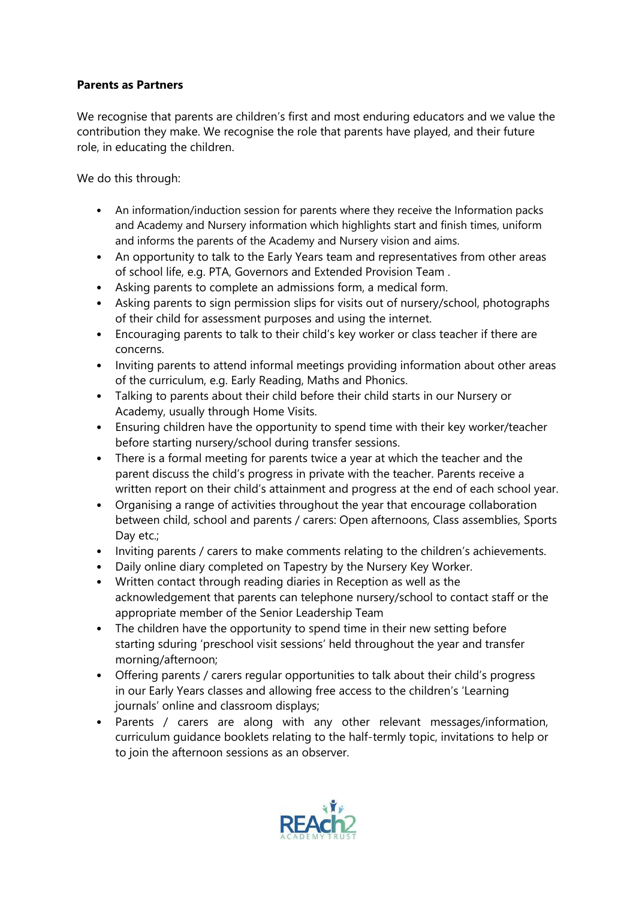# **Parents as Partners**

We recognise that parents are children's first and most enduring educators and we value the contribution they make. We recognise the role that parents have played, and their future role, in educating the children.

We do this through:

- An information/induction session for parents where they receive the Information packs and Academy and Nursery information which highlights start and finish times, uniform and informs the parents of the Academy and Nursery vision and aims.
- An opportunity to talk to the Early Years team and representatives from other areas of school life, e.g. PTA, Governors and Extended Provision Team .
- Asking parents to complete an admissions form, a medical form.
- Asking parents to sign permission slips for visits out of nursery/school, photographs of their child for assessment purposes and using the internet.
- Encouraging parents to talk to their child's key worker or class teacher if there are concerns.
- Inviting parents to attend informal meetings providing information about other areas of the curriculum, e.g. Early Reading, Maths and Phonics.
- Talking to parents about their child before their child starts in our Nursery or Academy, usually through Home Visits.
- Ensuring children have the opportunity to spend time with their key worker/teacher before starting nursery/school during transfer sessions.
- There is a formal meeting for parents twice a year at which the teacher and the parent discuss the child's progress in private with the teacher. Parents receive a written report on their child's attainment and progress at the end of each school year.
- Organising a range of activities throughout the year that encourage collaboration between child, school and parents / carers: Open afternoons, Class assemblies, Sports Dav etc.:
- Inviting parents / carers to make comments relating to the children's achievements.
- Daily online diary completed on Tapestry by the Nursery Key Worker.
- Written contact through reading diaries in Reception as well as the acknowledgement that parents can telephone nursery/school to contact staff or the appropriate member of the Senior Leadership Team
- The children have the opportunity to spend time in their new setting before starting sduring 'preschool visit sessions' held throughout the year and transfer morning/afternoon;
- Offering parents / carers regular opportunities to talk about their child's progress in our Early Years classes and allowing free access to the children's 'Learning journals' online and classroom displays;
- Parents / carers are along with any other relevant messages/information, curriculum guidance booklets relating to the half-termly topic, invitations to help or to join the afternoon sessions as an observer.

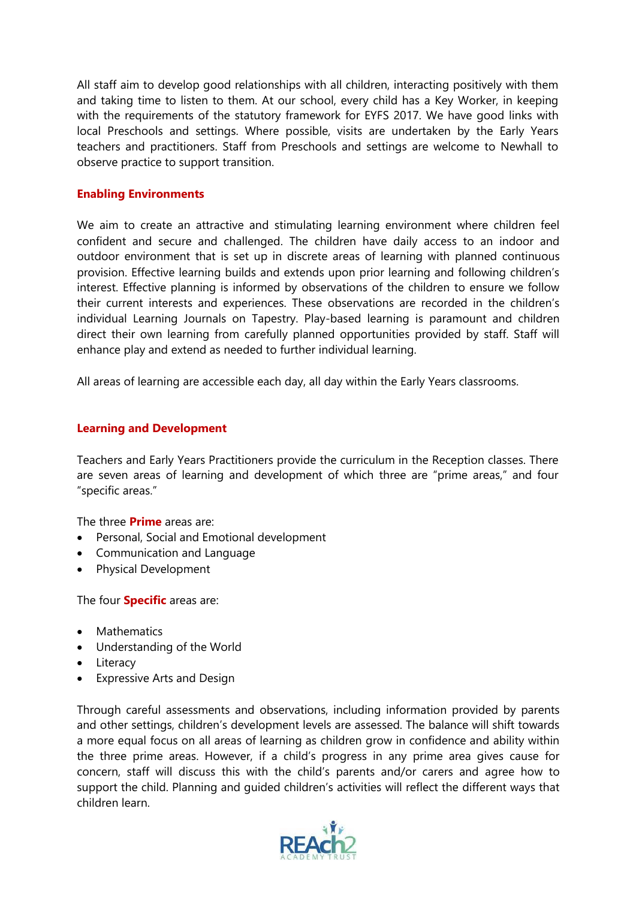All staff aim to develop good relationships with all children, interacting positively with them and taking time to listen to them. At our school, every child has a Key Worker, in keeping with the requirements of the statutory framework for EYFS 2017. We have good links with local Preschools and settings. Where possible, visits are undertaken by the Early Years teachers and practitioners. Staff from Preschools and settings are welcome to Newhall to observe practice to support transition.

#### **Enabling Environments**

We aim to create an attractive and stimulating learning environment where children feel confident and secure and challenged. The children have daily access to an indoor and outdoor environment that is set up in discrete areas of learning with planned continuous provision. Effective learning builds and extends upon prior learning and following children's interest. Effective planning is informed by observations of the children to ensure we follow their current interests and experiences. These observations are recorded in the children's individual Learning Journals on Tapestry. Play-based learning is paramount and children direct their own learning from carefully planned opportunities provided by staff. Staff will enhance play and extend as needed to further individual learning.

All areas of learning are accessible each day, all day within the Early Years classrooms.

#### **Learning and Development**

Teachers and Early Years Practitioners provide the curriculum in the Reception classes. There are seven areas of learning and development of which three are "prime areas," and four "specific areas."

The three **Prime** areas are:

- Personal, Social and Emotional development
- Communication and Language
- Physical Development

The four **Specific** areas are:

- Mathematics
- Understanding of the World
- Literacy
- Expressive Arts and Design

Through careful assessments and observations, including information provided by parents and other settings, children's development levels are assessed. The balance will shift towards a more equal focus on all areas of learning as children grow in confidence and ability within the three prime areas. However, if a child's progress in any prime area gives cause for concern, staff will discuss this with the child's parents and/or carers and agree how to support the child. Planning and guided children's activities will reflect the different ways that children learn.

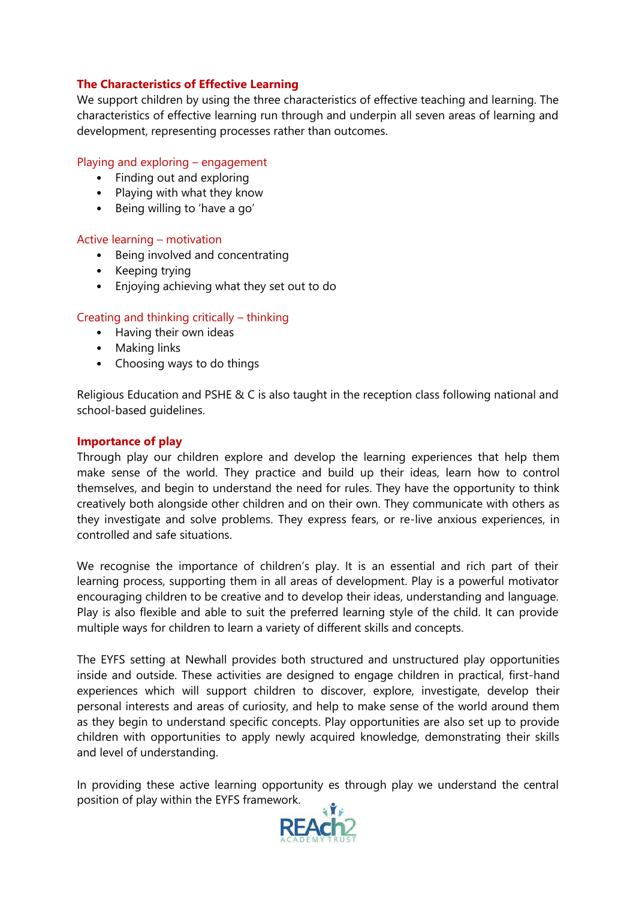# **The Characteristics of Effective Learning**

We support children by using the three characteristics of effective teaching and learning. The characteristics of effective learning run through and underpin all seven areas of learning and development, representing processes rather than outcomes.

#### Playing and exploring – engagement

- Finding out and exploring
- Playing with what they know
- Being willing to 'have a go'

#### Active learning – motivation

- Being involved and concentrating
- Keeping trying
- Enjoying achieving what they set out to do

### Creating and thinking critically – thinking

- Having their own ideas
- Making links
- Choosing ways to do things

Religious Education and PSHE & C is also taught in the reception class following national and school-based guidelines.

#### **Importance of play**

Through play our children explore and develop the learning experiences that help them make sense of the world. They practice and build up their ideas, learn how to control themselves, and begin to understand the need for rules. They have the opportunity to think creatively both alongside other children and on their own. They communicate with others as they investigate and solve problems. They express fears, or re-live anxious experiences, in controlled and safe situations.

We recognise the importance of children's play. It is an essential and rich part of their learning process, supporting them in all areas of development. Play is a powerful motivator encouraging children to be creative and to develop their ideas, understanding and language. Play is also flexible and able to suit the preferred learning style of the child. It can provide multiple ways for children to learn a variety of different skills and concepts.

The EYFS setting at Newhall provides both structured and unstructured play opportunities inside and outside. These activities are designed to engage children in practical, first-hand experiences which will support children to discover, explore, investigate, develop their personal interests and areas of curiosity, and help to make sense of the world around them as they begin to understand specific concepts. Play opportunities are also set up to provide children with opportunities to apply newly acquired knowledge, demonstrating their skills and level of understanding.

In providing these active learning opportunity es through play we understand the central position of play within the EYFS framework.

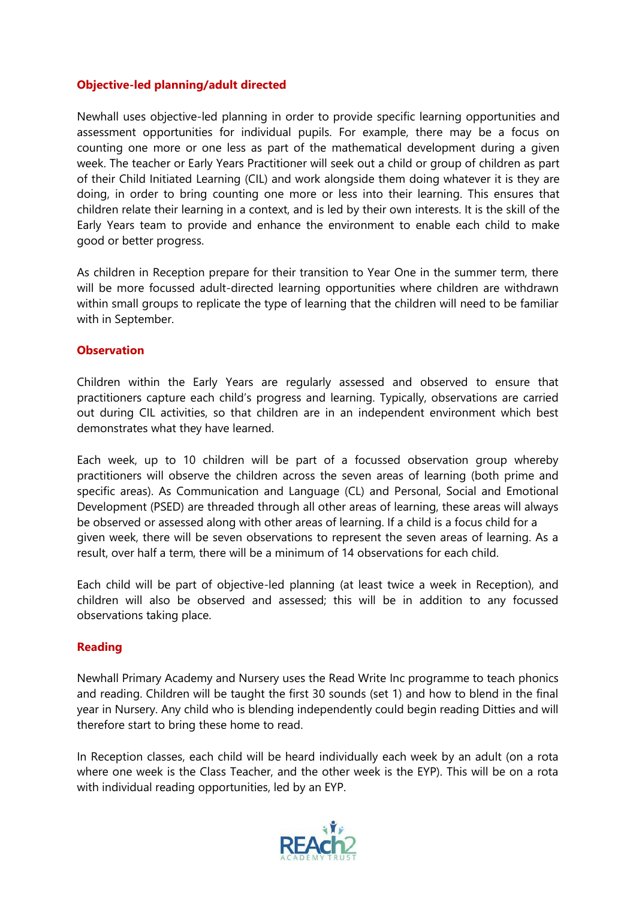# **Objective-led planning/adult directed**

Newhall uses objective-led planning in order to provide specific learning opportunities and assessment opportunities for individual pupils. For example, there may be a focus on counting one more or one less as part of the mathematical development during a given week. The teacher or Early Years Practitioner will seek out a child or group of children as part of their Child Initiated Learning (CIL) and work alongside them doing whatever it is they are doing, in order to bring counting one more or less into their learning. This ensures that children relate their learning in a context, and is led by their own interests. It is the skill of the Early Years team to provide and enhance the environment to enable each child to make good or better progress.

As children in Reception prepare for their transition to Year One in the summer term, there will be more focussed adult-directed learning opportunities where children are withdrawn within small groups to replicate the type of learning that the children will need to be familiar with in September.

#### **Observation**

Children within the Early Years are regularly assessed and observed to ensure that practitioners capture each child's progress and learning. Typically, observations are carried out during CIL activities, so that children are in an independent environment which best demonstrates what they have learned.

Each week, up to 10 children will be part of a focussed observation group whereby practitioners will observe the children across the seven areas of learning (both prime and specific areas). As Communication and Language (CL) and Personal, Social and Emotional Development (PSED) are threaded through all other areas of learning, these areas will always be observed or assessed along with other areas of learning. If a child is a focus child for a given week, there will be seven observations to represent the seven areas of learning. As a result, over half a term, there will be a minimum of 14 observations for each child.

Each child will be part of objective-led planning (at least twice a week in Reception), and children will also be observed and assessed; this will be in addition to any focussed observations taking place.

# **Reading**

Newhall Primary Academy and Nursery uses the Read Write Inc programme to teach phonics and reading. Children will be taught the first 30 sounds (set 1) and how to blend in the final year in Nursery. Any child who is blending independently could begin reading Ditties and will therefore start to bring these home to read.

In Reception classes, each child will be heard individually each week by an adult (on a rota where one week is the Class Teacher, and the other week is the EYP). This will be on a rota with individual reading opportunities, led by an EYP.

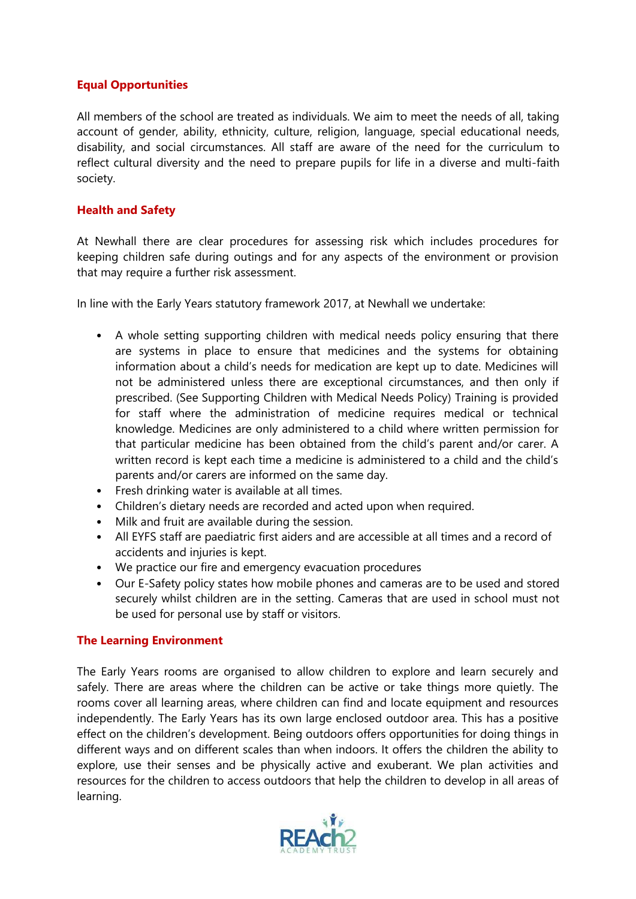# **Equal Opportunities**

All members of the school are treated as individuals. We aim to meet the needs of all, taking account of gender, ability, ethnicity, culture, religion, language, special educational needs, disability, and social circumstances. All staff are aware of the need for the curriculum to reflect cultural diversity and the need to prepare pupils for life in a diverse and multi-faith society.

# **Health and Safety**

At Newhall there are clear procedures for assessing risk which includes procedures for keeping children safe during outings and for any aspects of the environment or provision that may require a further risk assessment.

In line with the Early Years statutory framework 2017, at Newhall we undertake:

- A whole setting supporting children with medical needs policy ensuring that there are systems in place to ensure that medicines and the systems for obtaining information about a child's needs for medication are kept up to date. Medicines will not be administered unless there are exceptional circumstances, and then only if prescribed. (See Supporting Children with Medical Needs Policy) Training is provided for staff where the administration of medicine requires medical or technical knowledge. Medicines are only administered to a child where written permission for that particular medicine has been obtained from the child's parent and/or carer. A written record is kept each time a medicine is administered to a child and the child's parents and/or carers are informed on the same day.
- Fresh drinking water is available at all times.
- Children's dietary needs are recorded and acted upon when required.
- Milk and fruit are available during the session.
- All EYFS staff are paediatric first aiders and are accessible at all times and a record of accidents and injuries is kept.
- We practice our fire and emergency evacuation procedures
- Our E-Safety policy states how mobile phones and cameras are to be used and stored securely whilst children are in the setting. Cameras that are used in school must not be used for personal use by staff or visitors.

# **The Learning Environment**

The Early Years rooms are organised to allow children to explore and learn securely and safely. There are areas where the children can be active or take things more quietly. The rooms cover all learning areas, where children can find and locate equipment and resources independently. The Early Years has its own large enclosed outdoor area. This has a positive effect on the children's development. Being outdoors offers opportunities for doing things in different ways and on different scales than when indoors. It offers the children the ability to explore, use their senses and be physically active and exuberant. We plan activities and resources for the children to access outdoors that help the children to develop in all areas of learning.

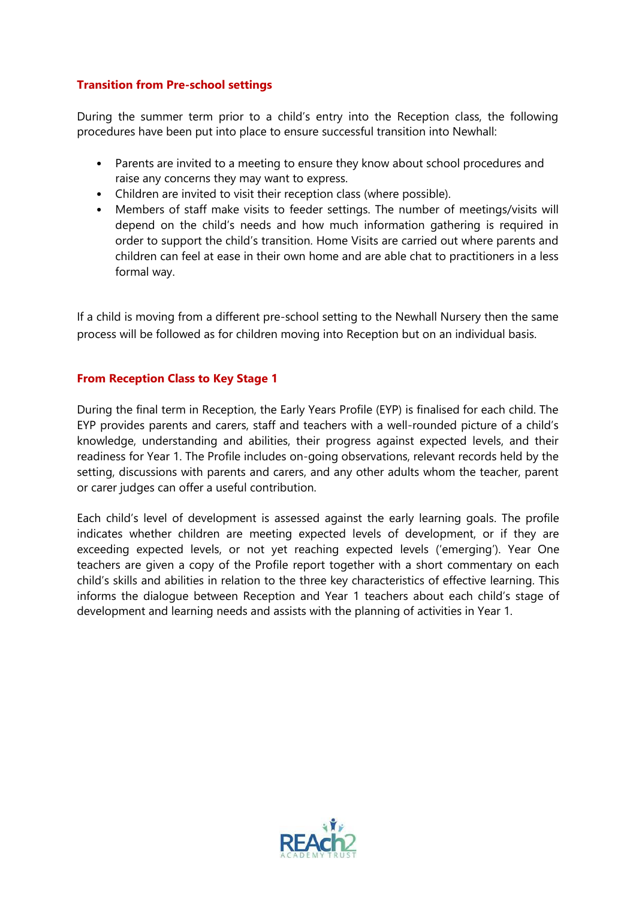# **Transition from Pre-school settings**

During the summer term prior to a child's entry into the Reception class, the following procedures have been put into place to ensure successful transition into Newhall:

- Parents are invited to a meeting to ensure they know about school procedures and raise any concerns they may want to express.
- Children are invited to visit their reception class (where possible).
- Members of staff make visits to feeder settings. The number of meetings/visits will depend on the child's needs and how much information gathering is required in order to support the child's transition. Home Visits are carried out where parents and children can feel at ease in their own home and are able chat to practitioners in a less formal way.

If a child is moving from a different pre-school setting to the Newhall Nursery then the same process will be followed as for children moving into Reception but on an individual basis.

# **From Reception Class to Key Stage 1**

During the final term in Reception, the Early Years Profile (EYP) is finalised for each child. The EYP provides parents and carers, staff and teachers with a well-rounded picture of a child's knowledge, understanding and abilities, their progress against expected levels, and their readiness for Year 1. The Profile includes on-going observations, relevant records held by the setting, discussions with parents and carers, and any other adults whom the teacher, parent or carer judges can offer a useful contribution.

Each child's level of development is assessed against the early learning goals. The profile indicates whether children are meeting expected levels of development, or if they are exceeding expected levels, or not yet reaching expected levels ('emerging'). Year One teachers are given a copy of the Profile report together with a short commentary on each child's skills and abilities in relation to the three key characteristics of effective learning. This informs the dialogue between Reception and Year 1 teachers about each child's stage of development and learning needs and assists with the planning of activities in Year 1.

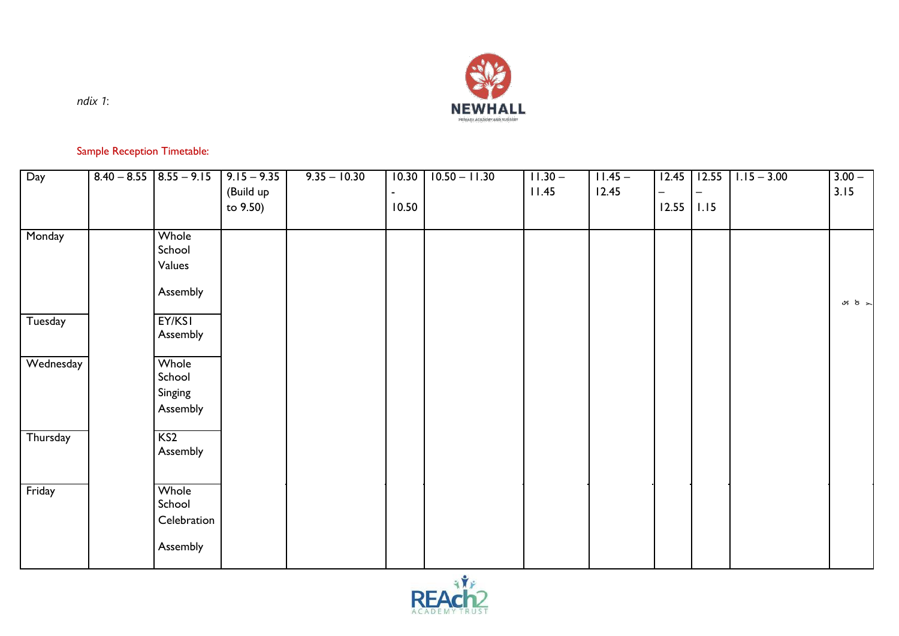

*ndix 1*:

# Sample Reception Timetable:

| Day       | $8.40 - 8.55$ $8.55 - 9.15$ | $9.15 - 9.35$ | $9.35 - 10.30$ | 10.30                    | $10.50 - 11.30$ | $11.30 -$ | $11.45 -$ | 12.45 | 12.55 | $1.15 - 3.00$ | $3.00 -$               |
|-----------|-----------------------------|---------------|----------------|--------------------------|-----------------|-----------|-----------|-------|-------|---------------|------------------------|
|           |                             | (Build up     |                | $\overline{\phantom{a}}$ |                 | 11.45     | 12.45     | —     |       |               | 3.15                   |
|           |                             | to 9.50)      |                | 10.50                    |                 |           |           | 12.55 | 1.15  |               |                        |
|           |                             |               |                |                          |                 |           |           |       |       |               |                        |
| Monday    | Whole                       |               |                |                          |                 |           |           |       |       |               |                        |
|           | School                      |               |                |                          |                 |           |           |       |       |               |                        |
|           | Values                      |               |                |                          |                 |           |           |       |       |               |                        |
|           |                             |               |                |                          |                 |           |           |       |       |               |                        |
|           | Assembly                    |               |                |                          |                 |           |           |       |       |               |                        |
|           |                             |               |                |                          |                 |           |           |       |       |               | $\frac{1}{2}$ $\sigma$ |
| Tuesday   | EY/KSI                      |               |                |                          |                 |           |           |       |       |               |                        |
|           | Assembly                    |               |                |                          |                 |           |           |       |       |               |                        |
|           |                             |               |                |                          |                 |           |           |       |       |               |                        |
| Wednesday | Whole                       |               |                |                          |                 |           |           |       |       |               |                        |
|           | School                      |               |                |                          |                 |           |           |       |       |               |                        |
|           |                             |               |                |                          |                 |           |           |       |       |               |                        |
|           | Singing                     |               |                |                          |                 |           |           |       |       |               |                        |
|           | Assembly                    |               |                |                          |                 |           |           |       |       |               |                        |
|           |                             |               |                |                          |                 |           |           |       |       |               |                        |
| Thursday  | KS2                         |               |                |                          |                 |           |           |       |       |               |                        |
|           | Assembly                    |               |                |                          |                 |           |           |       |       |               |                        |
|           |                             |               |                |                          |                 |           |           |       |       |               |                        |
|           |                             |               |                |                          |                 |           |           |       |       |               |                        |
| Friday    | Whole                       |               |                |                          |                 |           |           |       |       |               |                        |
|           | School                      |               |                |                          |                 |           |           |       |       |               |                        |
|           | Celebration                 |               |                |                          |                 |           |           |       |       |               |                        |
|           |                             |               |                |                          |                 |           |           |       |       |               |                        |
|           | Assembly                    |               |                |                          |                 |           |           |       |       |               |                        |
|           |                             |               |                |                          |                 |           |           |       |       |               |                        |